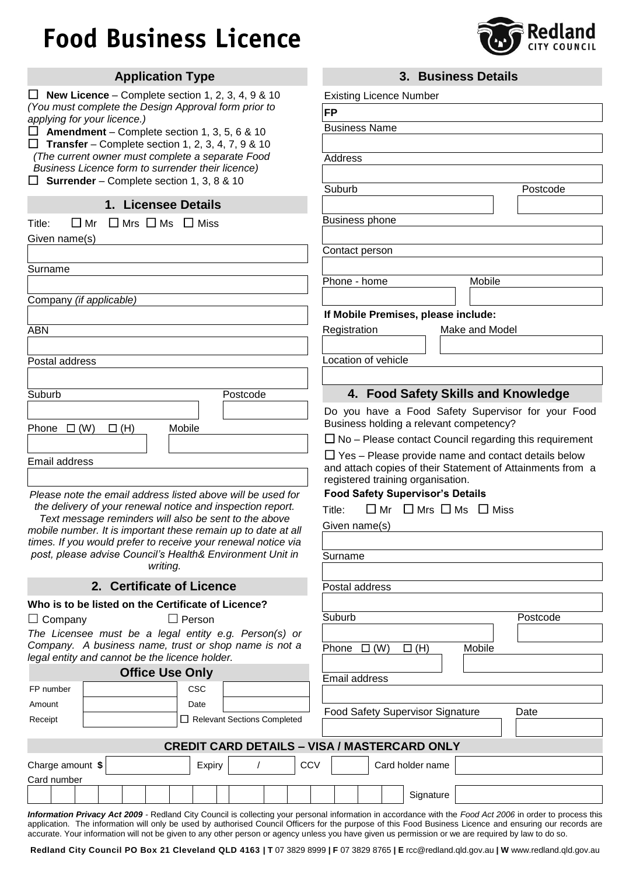## **Food Business Licence**



| <b>Application Type</b>                                                                                                    | 3. Business Details                                                          |
|----------------------------------------------------------------------------------------------------------------------------|------------------------------------------------------------------------------|
| New Licence – Complete section 1, 2, 3, 4, 9 & 10                                                                          | <b>Existing Licence Number</b>                                               |
| (You must complete the Design Approval form prior to                                                                       | <b>FP</b>                                                                    |
| applying for your licence.)<br>ப                                                                                           | <b>Business Name</b>                                                         |
| <b>Amendment</b> – Complete section 1, 3, 5, 6 & 10<br>$\Box$ Transfer – Complete section 1, 2, 3, 4, 7, 9 & 10            |                                                                              |
| (The current owner must complete a separate Food                                                                           | <b>Address</b>                                                               |
| Business Licence form to surrender their licence)                                                                          |                                                                              |
| Surrender - Complete section 1, 3, 8 & 10                                                                                  | Suburb<br>Postcode                                                           |
| 1. Licensee Details                                                                                                        |                                                                              |
| $\Box$ Mrs $\Box$ Ms $\Box$ Miss<br>$\Box$ Mr<br>Title:                                                                    | <b>Business phone</b>                                                        |
| Given name(s)                                                                                                              |                                                                              |
|                                                                                                                            | Contact person                                                               |
| Surname                                                                                                                    |                                                                              |
|                                                                                                                            | Mobile<br>Phone - home                                                       |
| Company (if applicable)                                                                                                    |                                                                              |
|                                                                                                                            | If Mobile Premises, please include:                                          |
| <b>ABN</b>                                                                                                                 | Make and Model<br>Registration                                               |
|                                                                                                                            |                                                                              |
| Postal address                                                                                                             | Location of vehicle                                                          |
|                                                                                                                            |                                                                              |
| Suburb<br>Postcode                                                                                                         | 4. Food Safety Skills and Knowledge                                          |
|                                                                                                                            | Do you have a Food Safety Supervisor for your Food                           |
| Mobile<br>Phone $\Box$ (W)<br>$\Box$ (H)                                                                                   | Business holding a relevant competency?                                      |
|                                                                                                                            | $\Box$ No – Please contact Council regarding this requirement                |
| Email address                                                                                                              | $\Box$ Yes – Please provide name and contact details below                   |
|                                                                                                                            | and attach copies of their Statement of Attainments from a                   |
| Please note the email address listed above will be used for                                                                | registered training organisation.<br><b>Food Safety Supervisor's Details</b> |
| the delivery of your renewal notice and inspection report.                                                                 | $\Box$ Mr $\Box$ Mrs $\Box$ Ms $\Box$ Miss                                   |
| Text message reminders will also be sent to the above                                                                      | Title:                                                                       |
| mobile number. It is important these remain up to date at all                                                              | Given name(s)                                                                |
| times. If you would prefer to receive your renewal notice via<br>post, please advise Council's Health& Environment Unit in |                                                                              |
| writing.                                                                                                                   | Surname                                                                      |
|                                                                                                                            |                                                                              |
| 2. Certificate of Licence                                                                                                  | Postal address                                                               |
| Who is to be listed on the Certificate of Licence?                                                                         | Suburb<br>Postcode                                                           |
| $\Box$ Person<br>$\Box$ Company                                                                                            |                                                                              |
| The Licensee must be a legal entity e.g. Person(s) or<br>Company. A business name, trust or shop name is not a             | Phone $\Box$ (W)<br>$\Box$ (H)<br>Mobile                                     |
| legal entity and cannot be the licence holder.                                                                             |                                                                              |
| <b>Office Use Only</b>                                                                                                     | <b>Email address</b>                                                         |
| CSC<br>FP number                                                                                                           |                                                                              |
| Amount<br>Date                                                                                                             |                                                                              |
| Relevant Sections Completed<br>Receipt                                                                                     | <b>Food Safety Supervisor Signature</b><br>Date                              |
|                                                                                                                            |                                                                              |
|                                                                                                                            | <b>CREDIT CARD DETAILS - VISA / MASTERCARD ONLY</b>                          |
| Charge amount \$<br>Expiry                                                                                                 | CCV<br>Card holder name                                                      |
| Card number                                                                                                                |                                                                              |
|                                                                                                                            | Signature                                                                    |

*Information Privacy Act 2009 -* Redland City Council is collecting your personal information in accordance with the *Food Act 2006* in order to process this application. The information will only be used by authorised Council Officers for the purpose of this Food Business Licence and ensuring our records are accurate. Your information will not be given to any other person or agency unless you have given us permission or we are required by law to do so.

**Redland City Council PO Box 21 Cleveland QLD 4163 | T** 07 3829 8999 **| F** 07 3829 8765 **| E** rcc@redland.qld.gov.au **| W** www.redland.qld.gov.au